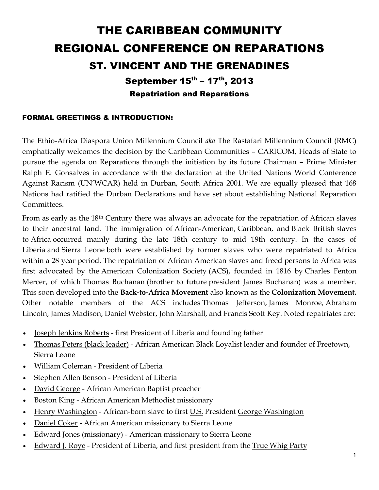## THE CARIBBEAN COMMUNITY REGIONAL CONFERENCE ON REPARATIONS ST. VINCENT AND THE GRENADINES

September 15<sup>th</sup> – 17<sup>th</sup>, 2013 Repatriation and Reparations

## FORMAL GREETINGS & INTRODUCTION:

The Ethio-Africa Diaspora Union Millennium Council *aka* The Rastafari Millennium Council (RMC) emphatically welcomes the decision by the Caribbean Communities – CARICOM, Heads of State to pursue the agenda on Reparations through the initiation by its future Chairman – Prime Minister Ralph E. Gonsalves in accordance with the declaration at the United Nations World Conference Against Racism (UN'WCAR) held in Durban, South Africa 2001. We are equally pleased that 168 Nations had ratified the Durban Declarations and have set about establishing National Reparation Committees.

From as early as the 18th Century there was always an advocate for the repatriation of African slaves to their ancestral land. The immigration of [African-American,](http://en.wikipedia.org/wiki/African_American) [Caribbean,](http://en.wikipedia.org/wiki/Caribbean) and [Black British](http://en.wikipedia.org/wiki/Black_British) slaves to [Africa](http://en.wikipedia.org/wiki/Africa) occurred mainly during the late 18th century to mid 19th century. In the cases of [Liberia](http://en.wikipedia.org/wiki/Liberia) and [Sierra Leone](http://en.wikipedia.org/wiki/Sierra_Leone) both were established by former slaves who were repatriated to Africa within a 28 year period. The repatriation of African American slaves and freed persons to Africa was first advocated by the [American Colonization Society](http://en.wikipedia.org/wiki/American_Colonization_Society) (ACS), founded in 1816 by [Charles Fenton](http://en.wikipedia.org/wiki/Charles_Fenton_Mercer)  [Mercer,](http://en.wikipedia.org/wiki/Charles_Fenton_Mercer) of which [Thomas Buchanan](http://en.wikipedia.org/wiki/Thomas_Buchanan_(Governor_of_Liberia)) (brother to future [president](http://en.wikipedia.org/wiki/President_of_the_United_States) [James Buchanan\)](http://en.wikipedia.org/wiki/James_Buchanan) was a member. This soon developed into the **Back-to-Africa Movement** also known as the **Colonization Movement.** Other notable members of the ACS includes Thomas [Jefferson,](http://en.wikipedia.org/wiki/Thomas_Jefferson) James [Monroe,](http://en.wikipedia.org/wiki/James_Monroe) [Abraham](http://en.wikipedia.org/wiki/Abraham_Lincoln)  [Lincoln,](http://en.wikipedia.org/wiki/Abraham_Lincoln) [James Madison,](http://en.wikipedia.org/wiki/James_Madison) [Daniel Webster,](http://en.wikipedia.org/wiki/Daniel_Webster) [John Marshall,](http://en.wikipedia.org/wiki/John_Marshall) and [Francis Scott Key.](http://en.wikipedia.org/wiki/Francis_Scott_Key) Noted repatriates are:

- [Joseph Jenkins Roberts](http://en.wikipedia.org/wiki/Joseph_Jenkins_Roberts) first President of Liberia and founding father
- [Thomas Peters \(black leader\)](http://en.wikipedia.org/wiki/Thomas_Peters_(black_leader)) African American Black Loyalist leader and founder of [Freetown,](http://en.wikipedia.org/wiki/Freetown,_Sierra_Leone)  [Sierra Leone](http://en.wikipedia.org/wiki/Freetown,_Sierra_Leone)
- [William Coleman](http://en.wikipedia.org/wiki/William_D._Coleman_(politician)) President of Liberia
- [Stephen Allen Benson](http://en.wikipedia.org/wiki/Stephen_Allen_Benson) President of Liberia
- [David George](http://en.wikipedia.org/wiki/David_George_(Baptist)) African American Baptist preacher
- [Boston King](http://en.wikipedia.org/wiki/Boston_King) African American [Methodist](http://en.wikipedia.org/wiki/Methodist) [missionary](http://en.wikipedia.org/wiki/Missionary)
- [Henry Washington](http://en.wikipedia.org/wiki/Henry_Washington) African-born slave to first [U.S.](http://en.wikipedia.org/wiki/U.S.) President [George Washington](http://en.wikipedia.org/wiki/George_Washington)
- [Daniel Coker](http://en.wikipedia.org/wiki/Daniel_Coker) African American missionary to Sierra Leone
- [Edward Jones \(missionary\)](http://en.wikipedia.org/wiki/Edward_Jones_(missionary)) [American](http://en.wikipedia.org/wiki/United_States) missionary to Sierra Leone
- [Edward J. Roye](http://en.wikipedia.org/wiki/Edward_J._Roye) President of Liberia, and first president from the [True Whig Party](http://en.wikipedia.org/wiki/True_Whig_Party)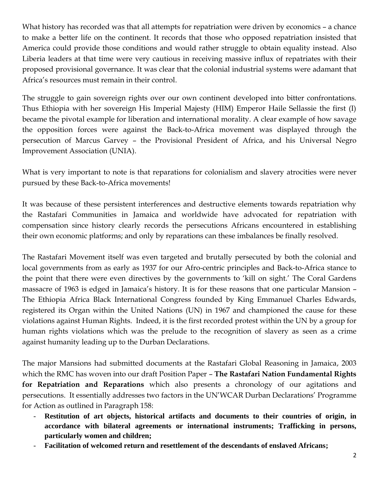What history has recorded was that all attempts for repatriation were driven by economics - a chance to make a better life on the continent. It records that those who opposed repatriation insisted that America could provide those conditions and would rather struggle to obtain equality instead. Also Liberia leaders at that time were very cautious in receiving massive influx of repatriates with their proposed provisional governance. It was clear that the colonial industrial systems were adamant that Africa's resources must remain in their control.

The struggle to gain sovereign rights over our own continent developed into bitter confrontations. Thus Ethiopia with her sovereign His Imperial Majesty (HIM) Emperor Haile Sellassie the first (I) became the pivotal example for liberation and international morality. A clear example of how savage the opposition forces were against the Back-to-Africa movement was displayed through the persecution of Marcus Garvey – the Provisional President of Africa, and his Universal Negro Improvement Association (UNIA).

What is very important to note is that reparations for colonialism and slavery atrocities were never pursued by these Back-to-Africa movements!

It was because of these persistent interferences and destructive elements towards repatriation why the Rastafari Communities in Jamaica and worldwide have advocated for repatriation with compensation since history clearly records the persecutions Africans encountered in establishing their own economic platforms; and only by reparations can these imbalances be finally resolved.

The Rastafari Movement itself was even targeted and brutally persecuted by both the colonial and local governments from as early as 1937 for our Afro-centric principles and Back-to-Africa stance to the point that there were even directives by the governments to 'kill on sight.' The Coral Gardens massacre of 1963 is edged in Jamaica's history. It is for these reasons that one particular Mansion – The Ethiopia Africa Black International Congress founded by King Emmanuel Charles Edwards, registered its Organ within the United Nations (UN) in 1967 and championed the cause for these violations against Human Rights. Indeed, it is the first recorded protest within the UN by a group for human rights violations which was the prelude to the recognition of slavery as seen as a crime against humanity leading up to the Durban Declarations.

The major Mansions had submitted documents at the Rastafari Global Reasoning in Jamaica, 2003 which the RMC has woven into our draft Position Paper – **The Rastafari Nation Fundamental Rights for Repatriation and Reparations** which also presents a chronology of our agitations and persecutions. It essentially addresses two factors in the UN'WCAR Durban Declarations' Programme for Action as outlined in Paragraph 158:

- **Restitution of art objects, historical artifacts and documents to their countries of origin, in accordance with bilateral agreements or international instruments; Trafficking in persons, particularly women and children;**
- Facilitation of welcomed return and resettlement of the descendants of enslaved Africans;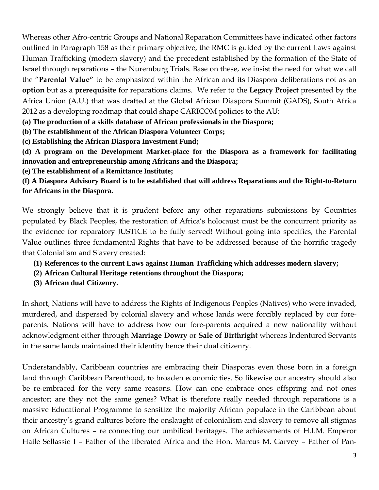Whereas other Afro-centric Groups and National Reparation Committees have indicated other factors outlined in Paragraph 158 as their primary objective, the RMC is guided by the current Laws against Human Trafficking (modern slavery) and the precedent established by the formation of the State of Israel through reparations – the Nuremburg Trials. Base on these, we insist the need for what we call the "**Parental Value"** to be emphasized within the African and its Diaspora deliberations not as an **option** but as a **prerequisite** for reparations claims. We refer to the **Legacy Project** presented by the Africa Union (A.U.) that was drafted at the Global African Diaspora Summit (GADS), South Africa 2012 as a developing roadmap that could shape CARICOM policies to the AU:

**(a) The production of a skills database of African professionals in the Diaspora;** 

**(b) The establishment of the African Diaspora Volunteer Corps;** 

**(c) Establishing the African Diaspora Investment Fund;** 

**(d) A program on the Development Market-place for the Diaspora as a framework for facilitating innovation and entrepreneurship among Africans and the Diaspora;** 

**(e) The establishment of a Remittance Institute;** 

**(f) A Diaspora Advisory Board is to be established that will address Reparations and the Right-to-Return for Africans in the Diaspora.**

We strongly believe that it is prudent before any other reparations submissions by Countries populated by Black Peoples, the restoration of Africa's holocaust must be the concurrent priority as the evidence for reparatory JUSTICE to be fully served! Without going into specifics, the Parental Value outlines three fundamental Rights that have to be addressed because of the horrific tragedy that Colonialism and Slavery created:

- **(1) References to the current Laws against Human Trafficking which addresses modern slavery;**
- **(2) African Cultural Heritage retentions throughout the Diaspora;**
- **(3) African dual Citizenry.**

In short, Nations will have to address the Rights of Indigenous Peoples (Natives) who were invaded, murdered, and dispersed by colonial slavery and whose lands were forcibly replaced by our foreparents. Nations will have to address how our fore-parents acquired a new nationality without acknowledgment either through **Marriage Dowry** or **Sale of Birthright** whereas Indentured Servants in the same lands maintained their identity hence their dual citizenry.

Understandably, Caribbean countries are embracing their Diasporas even those born in a foreign land through Caribbean Parenthood, to broaden economic ties. So likewise our ancestry should also be re-embraced for the very same reasons. How can one embrace ones offspring and not ones ancestor; are they not the same genes? What is therefore really needed through reparations is a massive Educational Programme to sensitize the majority African populace in the Caribbean about their ancestry's grand cultures before the onslaught of colonialism and slavery to remove all stigmas on African Cultures – re connecting our umbilical heritages. The achievements of H.I.M. Emperor Haile Sellassie I – Father of the liberated Africa and the Hon. Marcus M. Garvey – Father of Pan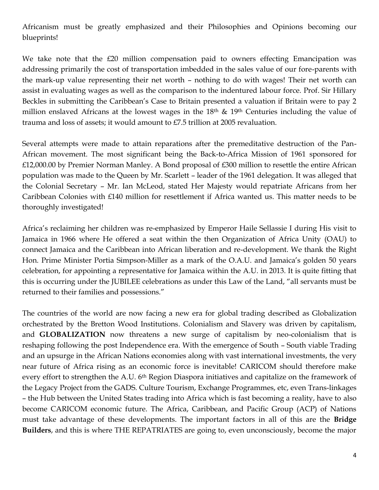Africanism must be greatly emphasized and their Philosophies and Opinions becoming our blueprints!

We take note that the £20 million compensation paid to owners effecting Emancipation was addressing primarily the cost of transportation imbedded in the sales value of our fore-parents with the mark-up value representing their net worth – nothing to do with wages! Their net worth can assist in evaluating wages as well as the comparison to the indentured labour force. Prof. Sir Hillary Beckles in submitting the Caribbean's Case to Britain presented a valuation if Britain were to pay 2 million enslaved Africans at the lowest wages in the  $18<sup>th</sup>$  &  $19<sup>th</sup>$  Centuries including the value of trauma and loss of assets; it would amount to £7.5 trillion at 2005 revaluation.

Several attempts were made to attain reparations after the premeditative destruction of the Pan-African movement. The most significant being the Back-to-Africa Mission of 1961 sponsored for £12,000.00 by Premier Norman Manley. A Bond proposal of £300 million to resettle the entire African population was made to the Queen by Mr. Scarlett – leader of the 1961 delegation. It was alleged that the Colonial Secretary – Mr. Ian McLeod, stated Her Majesty would repatriate Africans from her Caribbean Colonies with £140 million for resettlement if Africa wanted us. This matter needs to be thoroughly investigated!

Africa's reclaiming her children was re-emphasized by Emperor Haile Sellassie I during His visit to Jamaica in 1966 where He offered a seat within the then Organization of Africa Unity (OAU) to connect Jamaica and the Caribbean into African liberation and re-development. We thank the Right Hon. Prime Minister Portia Simpson-Miller as a mark of the O.A.U. and Jamaica's golden 50 years celebration, for appointing a representative for Jamaica within the A.U. in 2013. It is quite fitting that this is occurring under the JUBILEE celebrations as under this Law of the Land, "all servants must be returned to their families and possessions."

The countries of the world are now facing a new era for global trading described as Globalization orchestrated by the Bretton Wood Institutions. Colonialism and Slavery was driven by capitalism, and **GLOBALIZATION** now threatens a new surge of capitalism by neo-colonialism that is reshaping following the post Independence era. With the emergence of South – South viable Trading and an upsurge in the African Nations economies along with vast international investments, the very near future of Africa rising as an economic force is inevitable! CARICOM should therefore make every effort to strengthen the A.U. 6<sup>th</sup> Region Diaspora initiatives and capitalize on the framework of the Legacy Project from the GADS. Culture Tourism, Exchange Programmes, etc, even Trans-linkages – the Hub between the United States trading into Africa which is fast becoming a reality, have to also become CARICOM economic future. The Africa, Caribbean, and Pacific Group (ACP) of Nations must take advantage of these developments. The important factors in all of this are the **Bridge Builders**, and this is where THE REPATRIATES are going to, even unconsciously, become the major